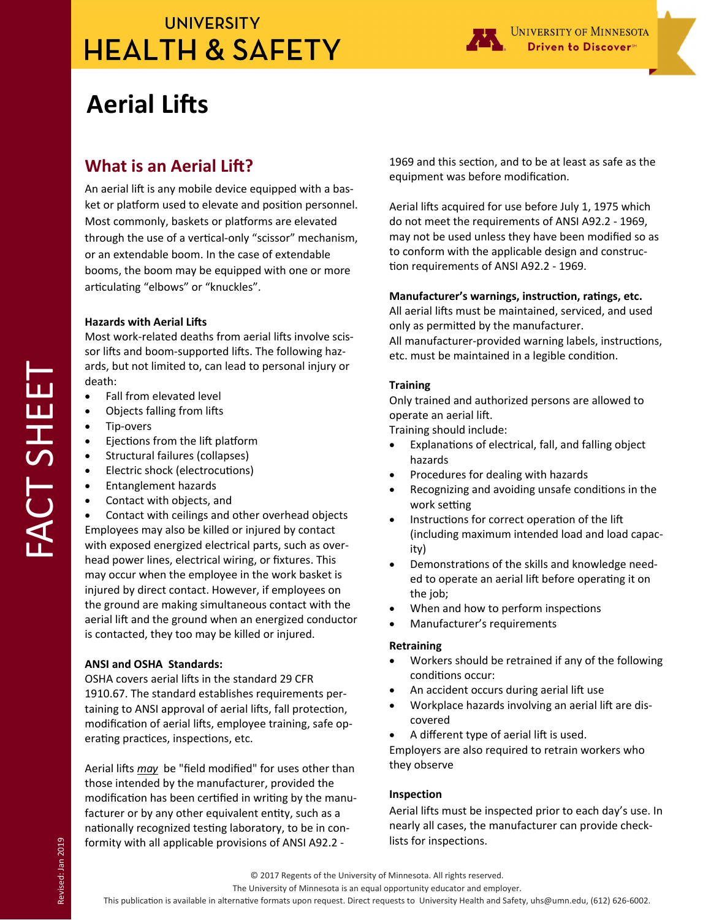# **UNIVERSITY HEALTH & SAFETY**



# **Aerial Lifts**

### **What is an Aerial Lift?**

An aerial lift is any mobile device equipped with a basket or platform used to elevate and position personnel. Most commonly, baskets or platforms are elevated through the use of a vertical-only "scissor" mechanism, or an extendable boom. In the case of extendable booms, the boom may be equipped with one or more articulating "elbows" or "knuckles".

### **Hazards with Aerial Lifts**

Most work-related deaths from aerial lifts involve scissor lifts and boom-supported lifts. The following hazards, but not limited to, can lead to personal injury or death:

- Fall from elevated level
- Objects falling from lifts
- Tip-overs
- Ejections from the lift platform
- Structural failures (collapses)
- Electric shock (electrocutions)
- Entanglement hazards
- Contact with objects, and

 Contact with ceilings and other overhead objects Employees may also be killed or injured by contact with exposed energized electrical parts, such as over‐ head power lines, electrical wiring, or fixtures. This may occur when the employee in the work basket is injured by direct contact. However, if employees on the ground are making simultaneous contact with the aerial lift and the ground when an energized conductor is contacted, they too may be killed or injured.

### **ANSI and OSHA Standards:**

OSHA covers aerial lifts in the standard 29 CFR 1910.67. The standard establishes requirements per‐ taining to ANSI approval of aerial lifts, fall protection, modification of aerial lifts, employee training, safe operating practices, inspections, etc.

Aerial lifts *may* be "field modified" for uses other than those intended by the manufacturer, provided the modification has been certified in writing by the manufacturer or by any other equivalent entity, such as a nationally recognized testing laboratory, to be in conformity with all applicable provisions of ANSI A92.2 ‐

1969 and this section, and to be at least as safe as the equipment was before modification.

Aerial lifts acquired for use before July 1, 1975 which do not meet the requirements of ANSI A92.2 ‐ 1969, may not be used unless they have been modified so as to conform with the applicable design and construc‐ tion requirements of ANSI A92.2 - 1969.

### Manufacturer's warnings, instruction, ratings, etc.

All aerial lifts must be maintained, serviced, and used only as permitted by the manufacturer.

All manufacturer-provided warning labels, instructions, etc. must be maintained in a legible condition.

### **Training**

Only trained and authorized persons are allowed to operate an aerial lift.

Training should include:

- Explanations of electrical, fall, and falling object hazards
- Procedures for dealing with hazards
- Recognizing and avoiding unsafe conditions in the work setting
- Instructions for correct operation of the lift (including maximum intended load and load capac‐ ity)
- Demonstrations of the skills and knowledge needed to operate an aerial lift before operating it on the job;
- When and how to perform inspections
- Manufacturer's requirements

### **Retraining**

- Workers should be retrained if any of the following conditions occur:
- An accident occurs during aerial lift use
- Workplace hazards involving an aerial lift are discovered
- A different type of aerial lift is used.

Employers are also required to retrain workers who they observe

### **Inspection**

Aerial lifts must be inspected prior to each day's use. In nearly all cases, the manufacturer can provide check‐ lists for inspections.

#### The University of Minnesota is an equal opportunity educator and employer.